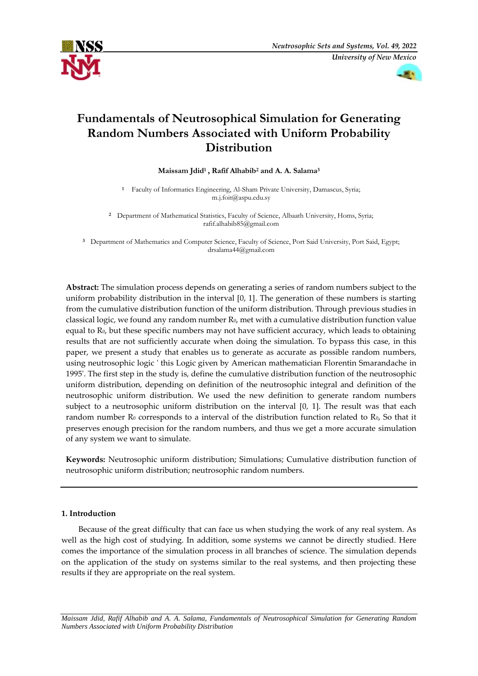



# **Fundamentals of Neutrosophical Simulation for Generating Random Numbers Associated with Uniform Probability Distribution**

**Maissam Jdid<sup>1</sup> , Rafif Alhabib<sup>2</sup> and A. A. Salama<sup>3</sup>**

**1**  Faculty of Informatics Engineering, Al-Sham Private University, Damascus, Syria; [m.j.foit@aspu.edu.sy](mailto:m.j.foit@aspu.edu.sy)

<sup>2</sup> Department of Mathematical Statistics, Faculty of Science, Albaath University, Homs, Syria; [rafif.alhabib85@gmail.com](mailto:rafif.alhabib85@gmail.com)

**<sup>3</sup>** Department of Mathematics and Computer Science, Faculty of Science, Port Said University, Port Said, Egypt; [drsalama44@gmail.com](mailto:drsalama44@gmail.com)

**Abstract:** The simulation process depends on generating a series of random numbers subject to the uniform probability distribution in the interval [0, 1]. The generation of these numbers is starting from the cumulative distribution function of the uniform distribution. Through previous studies in classical logic, we found any random number R<sub>0</sub>, met with a cumulative distribution function value equal to R0, but these specific numbers may not have sufficient accuracy, which leads to obtaining results that are not sufficiently accurate when doing the simulation. To bypass this case, in this paper, we present a study that enables us to generate as accurate as possible random numbers, using neutrosophic logic ' this Logic given by American mathematician Florentin Smarandache in 1995'. The first step in the study is, define the cumulative distribution function of the neutrosophic uniform distribution, depending on definition of the neutrosophic integral and definition of the neutrosophic uniform distribution. We used the new definition to generate random numbers subject to a neutrosophic uniform distribution on the interval [0, 1]. The result was that each random number R<sub>0</sub> corresponds to a interval of the distribution function related to R<sub>0</sub>, So that it preserves enough precision for the random numbers, and thus we get a more accurate simulation of any system we want to simulate.

**Keywords:** Neutrosophic uniform distribution; Simulations; Cumulative distribution function of neutrosophic uniform distribution; neutrosophic random numbers.

# **1. Introduction**

Because of the great difficulty that can face us when studying the work of any real system. As well as the high cost of studying. In addition, some systems we cannot be directly studied. Here comes the importance of the simulation process in all branches of science. The simulation depends on the application of the study on systems similar to the real systems, and then projecting these results if they are appropriate on the real system.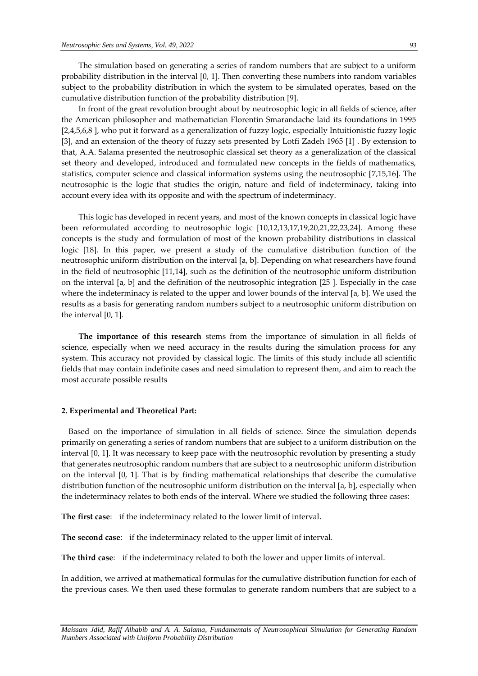The simulation based on generating a series of random numbers that are subject to a uniform probability distribution in the interval [0, 1]. Then converting these numbers into random variables subject to the probability distribution in which the system to be simulated operates, based on the cumulative distribution function of the probability distribution [9].

In front of the great revolution brought about by neutrosophic logic in all fields of science, after the American philosopher and mathematician Florentin Smarandache laid its foundations in 1995 [2,4,5,6,8 ], who put it forward as a generalization of fuzzy logic, especially Intuitionistic fuzzy logic [3], and an extension of the theory of fuzzy sets presented by Lotfi Zadeh 1965 [1] . By extension to that, A.A. Salama presented the neutrosophic classical set theory as a generalization of the classical set theory and developed, introduced and formulated new concepts in the fields of mathematics, statistics, computer science and classical information systems using the neutrosophic [7,15,16]. The neutrosophic is the logic that studies the origin, nature and field of indeterminacy, taking into account every idea with its opposite and with the spectrum of indeterminacy.

This logic has developed in recent years, and most of the known concepts in classical logic have been reformulated according to neutrosophic logic [10,12,13,17,19,20,21,22,23,24]. Among these concepts is the study and formulation of most of the known probability distributions in classical logic [18]. In this paper, we present a study of the cumulative distribution function of the neutrosophic uniform distribution on the interval [a, b]. Depending on what researchers have found in the field of neutrosophic [11,14], such as the definition of the neutrosophic uniform distribution on the interval [a, b] and the definition of the neutrosophic integration [25 ]. Especially in the case where the indeterminacy is related to the upper and lower bounds of the interval [a, b]. We used the results as a basis for generating random numbers subject to a neutrosophic uniform distribution on the interval [0, 1].

**The importance of this research** stems from the importance of simulation in all fields of science, especially when we need accuracy in the results during the simulation process for any system. This accuracy not provided by classical logic. The limits of this study include all scientific fields that may contain indefinite cases and need simulation to represent them, and aim to reach the most accurate possible results

#### **2. Experimental and Theoretical Part:**

 Based on the importance of simulation in all fields of science. Since the simulation depends primarily on generating a series of random numbers that are subject to a uniform distribution on the interval [0, 1]. It was necessary to keep pace with the neutrosophic revolution by presenting a study that generates neutrosophic random numbers that are subject to a neutrosophic uniform distribution on the interval [0, 1]. That is by finding mathematical relationships that describe the cumulative distribution function of the neutrosophic uniform distribution on the interval [a, b], especially when the indeterminacy relates to both ends of the interval. Where we studied the following three cases:

**The first case**: if the indeterminacy related to the lower limit of interval.

**The second case**: if the indeterminacy related to the upper limit of interval.

**The third case**: if the indeterminacy related to both the lower and upper limits of interval.

In addition, we arrived at mathematical formulas for the cumulative distribution function for each of the previous cases. We then used these formulas to generate random numbers that are subject to a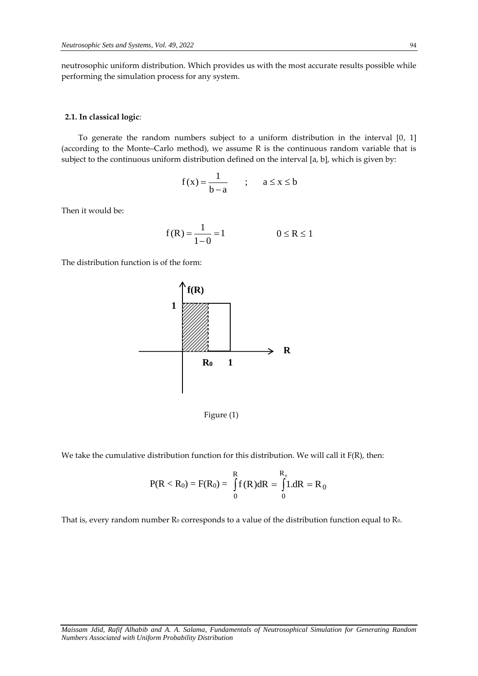neutrosophic uniform distribution. Which provides us with the most accurate results possible while performing the simulation process for any system.

#### **2.1. In classical logic**:

To generate the random numbers subject to a uniform distribution in the interval [0, 1] (according to the Monte–Carlo method), we assume R is the continuous random variable that is subject to the continuous uniform distribution defined on the interval [a, b], which is given by:

$$
f(x) = \frac{1}{b-a} \qquad ; \qquad a \le x \le b
$$

Then it would be:

$$
f(R) = \frac{1}{1 - 0} = 1 \qquad 0 \le R \le 1
$$

The distribution function is of the form:



Figure (1)

We take the cumulative distribution function for this distribution. We will call it F(R), then:

$$
P(R < R_0) = F(R_0) = \int_{0}^{R} f(R) dR = \int_{0}^{R_0} 1. dR = R_0
$$

That is, every random number  $R_0$  corresponds to a value of the distribution function equal to  $R_0$ .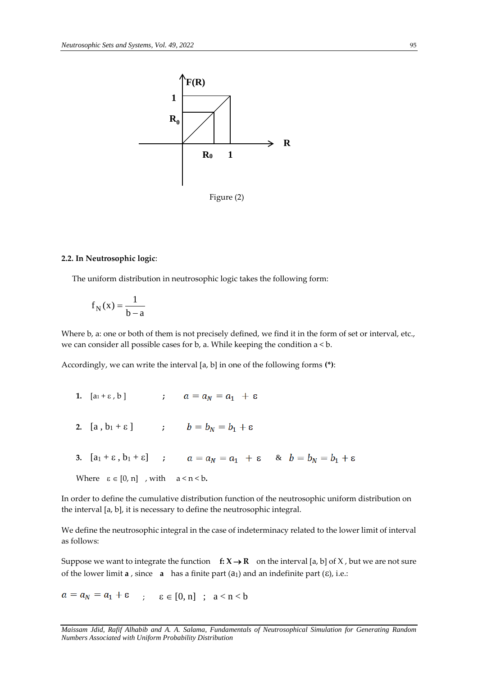

# **2.2. In Neutrosophic logic**:

The uniform distribution in neutrosophic logic takes the following form:

$$
f_N(x) = \frac{1}{b-a}
$$

Where b, a: one or both of them is not precisely defined, we find it in the form of set or interval, etc., we can consider all possible cases for b, a. While keeping the condition a < b.

Accordingly, we can write the interval [a, b] in one of the following forms **(\*)**:

- **1.**  $[a_1 + \varepsilon, b]$  **;**  $a = a_N = a_1 + \varepsilon$
- **2.**  $[a, b_1 + \varepsilon]$  **;**  $b = b_N = b_1 + \varepsilon$
- **3.**  $[a_1 + \varepsilon, b_1 + \varepsilon]$  ;  $a = a_N = a_1 + \varepsilon$  &  $b = b_N = b_1 + \varepsilon$
- Where  $\varepsilon \in [0, n]$  , with  $a < n < b$ .

In order to define the cumulative distribution function of the neutrosophic uniform distribution on the interval [a, b], it is necessary to define the neutrosophic integral.

We define the neutrosophic integral in the case of indeterminacy related to the lower limit of interval as follows:

Suppose we want to integrate the function  $f: X \rightarrow R$  on the interval [a, b] of X, but we are not sure of the lower limit  $a$ , since  $a$  has a finite part  $(a_1)$  and an indefinite part  $(\varepsilon)$ , i.e.:

 $a = a_N = a_1 + \varepsilon$  ;  $\varepsilon \in [0, n]$  ;  $a < n < b$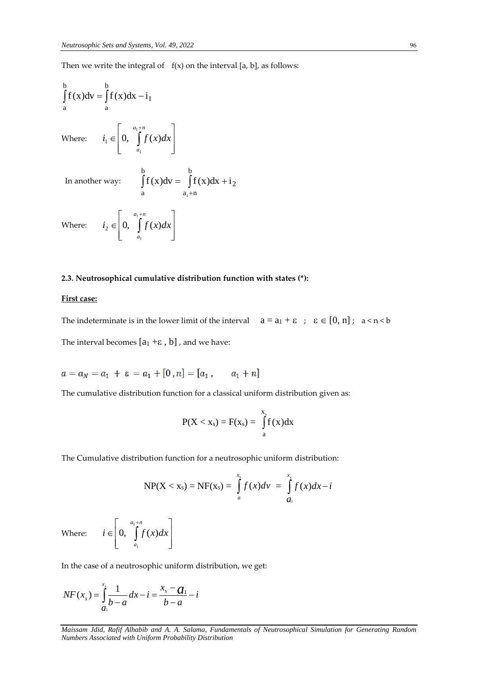Then we write the integral of  $f(x)$  on the interval [a, b], as follows:

$$
\int_{a}^{b} f(x)dv = \int_{a}^{b} f(x)dx - i_1
$$
\nWhere:

\n
$$
i_1 \in \left[0, \int_{a_1}^{a_1 + n} f(x)dx\right]
$$
\nIn another way:

\n
$$
\int_{a}^{b} f(x)dv = \int_{a_1 + n}^{b} f(x)dx + i_2
$$
\nWhere:

\n
$$
i_2 \in \left[0, \int_{a_1}^{a_1 + n} f(x)dx\right]
$$

# **2.3. Neutrosophical cumulative distribution function with states (\*):**

# **First case:**

The indeterminate is in the lower limit of the interval  $a = a_1 + \varepsilon$ ;  $\varepsilon \in [0, n]$ ;  $a < n < b$ The interval becomes  $[a_1 + \varepsilon, b]$ , and we have:

$$
a = a_N = a_1 + \varepsilon = a_1 + [0, n] = [a_1, \quad a_1 + n]
$$

The cumulative distribution function for a classical uniform distribution given as:

$$
P(X < x_s) = F(x_s) = \int_{a}^{x_s} f(x) dx
$$

The Cumulative distribution function for a neutrosophic uniform distribution:

$$
NP(X < x_s) = NF(x_s) = \int_{a}^{x_s} f(x)dv = \int_{a_1}^{x_s} f(x)dx - i
$$

Where:  $\mathsf{I}$  $\overline{ }$ L  $\overline{ }$  $\in$  0,  $\int$  $a_1 + n$ *a*  $i \in \left[0, \int_{0}^{a_1+n} f(x) dx\right]$ 1  $0, \quad \int f(x)$ 

In the case of a neutrosophic uniform distribution, we get:

 $\overline{\phantom{a}}$  $\cdot$   $\mid$  $\rfloor$ 

 $\overline{\phantom{a}}$ 

$$
NF(x_s) = \int_{a_1}^{x_s} \frac{1}{b-a} dx - i = \frac{x_s - a_1}{b-a} - i
$$

*Maissam Jdid, Rafif Alhabib and A. A. Salama, Fundamentals of Neutrosophical Simulation for Generating Random Numbers Associated with Uniform Probability Distribution*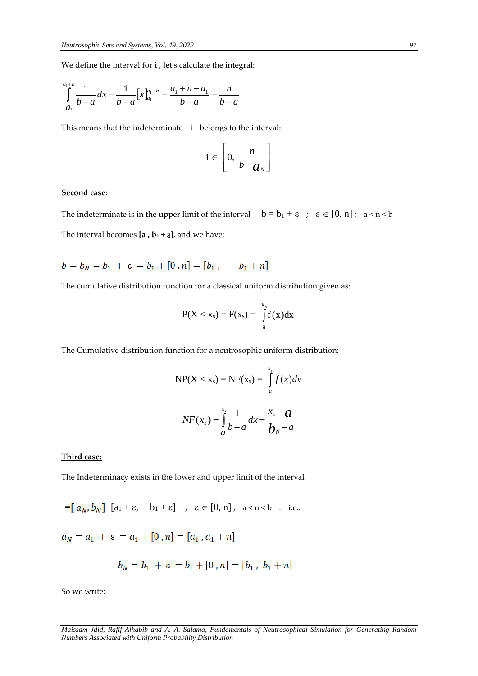We define the interval for **i** , let's calculate the integral:

$$
\int_{a_1}^{a_1+n} \frac{1}{b-a} dx = \frac{1}{b-a} \left[ x \right]_{a_1}^{a_1+n} = \frac{a_1+n-a_1}{b-a} = \frac{n}{b-a}
$$

This means that the indeterminate **i** belongs to the interval:

$$
i \in \left[0, \frac{n}{b-a_N}\right]
$$

### **Second case:**

The indeterminate is in the upper limit of the interval  $b = b_1 + \varepsilon$ ;  $\varepsilon \in [0, n]$ ;  $a < n < b$ The interval becomes  $[a, b_1 + \varepsilon]$ , and we have:

 $b = b_N = b_1 + \varepsilon = b_1 + [0, n] = [b_1, b_1 + n]$ 

The cumulative distribution function for a classical uniform distribution given as:

$$
P(X < x_s) = F(x_s) = \int_{a}^{x_s} f(x) dx
$$

The Cumulative distribution function for a neutrosophic uniform distribution:

$$
NP(X < x_s) = NF(x_s) = \int_{a}^{x_s} f(x) \, dv
$$
\n
$$
NF(x_s) = \int_{a}^{x_s} \frac{1}{b-a} \, dx = \frac{x_s - a}{b_s - a}
$$

# **Third case:**

The Indeterminacy exists in the lower and upper limit of the interval

$$
= [a_N, b_N] [a_1 + \varepsilon, b_1 + \varepsilon] \quad ; \quad \varepsilon \in [0, n]; \quad a < n < b \quad . \quad \text{i.e.}
$$

 $a_N = a_1 + \varepsilon = a_1 + [0, n] = [a_1, a_1 + n]$ 

$$
b_N = b_1 + \varepsilon = b_1 + [0 \,, n] = [b_1 \,, \, b_1 + n]
$$

So we write: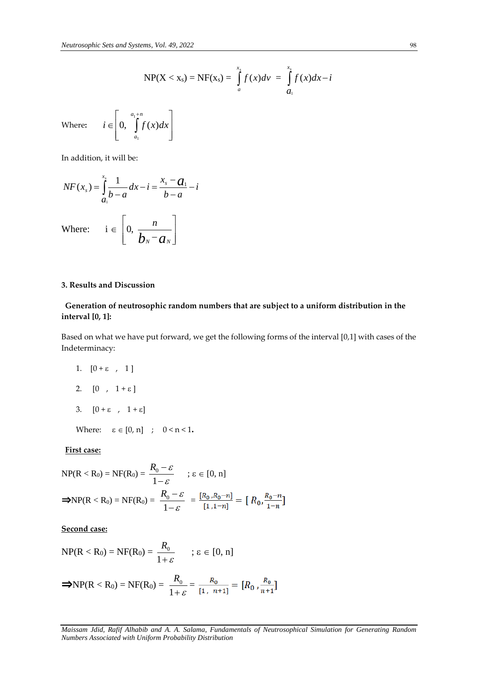$$
NP(X < x_s) = NF(x_s) = \int_{a}^{x_s} f(x)dv = \int_{a_1}^{x_s} f(x)dx - i
$$

Where**:**   $\mathsf{I}$  $\mathbf{r}$ L  $\mathbf{r}$  $\in$  0,  $\int$  $a_1 + n$ *a*  $i \in \left[0, \int_{0}^{u_1+n} f(x) dx\right]$ 1  $0, \quad \int f(x)$ 

In addition, it will be:

$$
NF(x_s) = \int_{a_1}^{x_s} \frac{1}{b-a} dx - i = \frac{x_s - a_1}{b-a} - i
$$
  
Where:  $i \in \left[0, \frac{n}{b_N - a_N}\right]$ 

 $\overline{\phantom{a}}$  $\cdot$  $\overline{\phantom{a}}$ 

 $\overline{\phantom{a}}$ 

# **3. Results and Discussion**

# **Generation of neutrosophic random numbers that are subject to a uniform distribution in the interval [0, 1]:**

Based on what we have put forward, we get the following forms of the interval [0,1] with cases of the Indeterminacy:

- 1.  $[0 + \varepsilon, 1]$
- 2.  $[0, 1 + \varepsilon]$
- 3.  $[0 + \varepsilon, 1 + \varepsilon]$

Where:  $\epsilon \in [0, n]$  ;  $0 \le n \le 1$ .

#### **First case:**

$$
NP(R < R_0) = NF(R_0) = \frac{R_0 - \varepsilon}{1 - \varepsilon} \quad ; \varepsilon \in [0, n]
$$
  
\n
$$
\Rightarrow NP(R < R_0) = NF(R_0) = \frac{R_0 - \varepsilon}{1 - \varepsilon} = \frac{[R_0, R_0 - n]}{[1, 1 - n]} = [R_0, \frac{R_0 - n}{1 - n}]
$$

# **Second case:**

$$
NP(R < R_0) = NF(R_0) = \frac{R_0}{1+\varepsilon} \quad ; \varepsilon \in [0, n]
$$

$$
\Rightarrow NP(R < R_0) = NF(R_0) = \frac{R_0}{1+\varepsilon} = \frac{R_0}{[1, n+1]} = [R_0, \frac{R_0}{n+1}]
$$

*Maissam Jdid, Rafif Alhabib and A. A. Salama, Fundamentals of Neutrosophical Simulation for Generating Random Numbers Associated with Uniform Probability Distribution*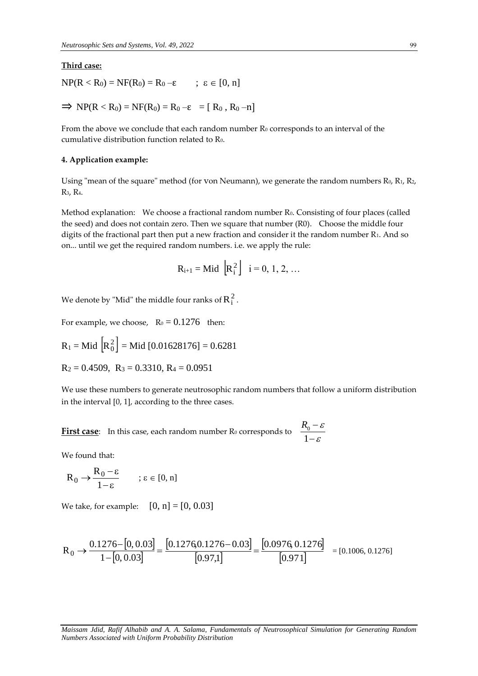#### **Third case:**

 $NP(R < R_0) = NF(R_0) = R_0 - \varepsilon$  ;  $\varepsilon \in [0, n]$ 

$$
\Rightarrow NP(R < R_0) = NF(R_0) = R_0 - \epsilon = [R_0, R_0 - n]
$$

From the above we conclude that each random number  $R_0$  corresponds to an interval of the cumulative distribution function related to R0.

#### **4. Application example:**

 $\overline{a}$ 

Using "mean of the square" method (for von Neumann), we generate the random numbers  $R_0$ ,  $R_1$ ,  $R_2$ , R3, R4.

Method explanation: We choose a fractional random number R<sub>0</sub>. Consisting of four places (called the seed) and does not contain zero. Then we square that number (R0). Choose the middle four digits of the fractional part then put a new fraction and consider it the random number R<sub>1</sub>. And so on... until we get the required random numbers. i.e. we apply the rule:

$$
R_{i+1} = Mid \left[R_i^2\right] i = 0, 1, 2, ...
$$

We denote by "Mid" the middle four ranks of  $\boldsymbol{\mathrm{R}}_{{\rm i}}^{\,2}$  .

For example, we choose,  $R_0 = 0.1276$  then:

$$
R_1
$$
 = Mid  $\left[ R_0^2 \right]$  = Mid [0.01628176] = 0.6281

$$
R_2 = 0.4509
$$
,  $R_3 = 0.3310$ ,  $R_4 = 0.0951$ 

We use these numbers to generate neutrosophic random numbers that follow a uniform distribution in the interval [0, 1], according to the three cases.

**First case**: In this case, each random number R<sub>0</sub> corresponds to  $\frac{-6}{1-\varepsilon}$ ε  $\overline{a}$  $\overline{a}$ 1  $R<sub>0</sub>$ 

We found that:

$$
R_0 \to \!\!\frac{R_0\!-\!\epsilon}{1\!-\!\epsilon} \qquad \, ;\, \epsilon \in [0,n]
$$

We take, for example:  $[0, n] = [0, 0.03]$ 

$$
R_0 \rightarrow \frac{0.1276 - [0, 0.03]}{1 - [0, 0.03]} = \frac{[0.12760.1276 - 0.03]}{[0.97,1]} = \frac{[0.0976, 0.1276]}{[0.971]} = [0.1006, 0.1276]
$$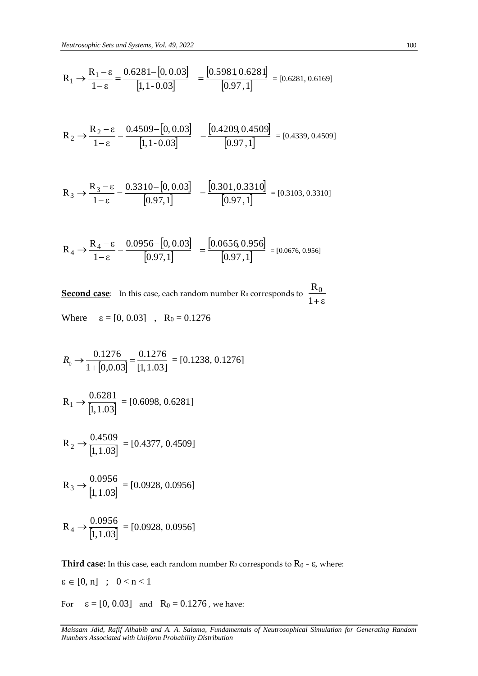$$
R_1 \rightarrow \frac{R_1 - \varepsilon}{1 - \varepsilon} = \frac{0.6281 - [0, 0.03]}{[1, 1 - 0.03]} = \frac{[0.5981, 0.6281]}{[0.97, 1]} = [0.6281, 0.6169]
$$

$$
R_1 \rightarrow \frac{R_1 - \varepsilon}{1 - \varepsilon} = \frac{0.6281 - [0, 0.03]}{[1, 1 - 0.03]} = \frac{[0.5981, 0.6281]}{[0.97, 1]} = [0.6281, 0.6169]
$$
  
\n
$$
R_2 \rightarrow \frac{R_2 - \varepsilon}{1 - \varepsilon} = \frac{0.4509 - [0, 0.03]}{[1, 1 - 0.03]} = \frac{[0.4209, 0.4509]}{[0.97, 1]} = [0.4339, 0.4509]
$$
  
\n
$$
R_3 \rightarrow \frac{R_3 - \varepsilon}{1 - \varepsilon} = \frac{0.3310 - [0, 0.03]}{[0.97, 1]} = \frac{[0.301, 0.3310]}{[0.97, 1]} = [0.3103, 0.3310]
$$
  
\n
$$
R_4 \rightarrow \frac{R_4 - \varepsilon}{1 - \varepsilon} = \frac{0.0956 - [0, 0.03]}{[0.97, 1]} = \frac{[0.0656, 0.956]}{[0.97, 1]} = [0.0676, 0.956]
$$
  
\n**Second case:** In this case, each random number  $R_0$  corresponds to  $\frac{R_0}{1 + \varepsilon}$   
\nWhere  $\varepsilon = [0, 0.03]$ ,  $R_0 = 0.1276$   
\n
$$
R_0 \rightarrow \frac{0.1276}{1 + [0.0.03]} = \frac{0.1276}{[1, 1.03]} = [0.1238, 0.1276]
$$
  
\n
$$
R_1 \rightarrow \frac{0.6281}{[1, 1.03]} = [0.6098, 0.6281]
$$
  
\n
$$
R_2 \rightarrow \frac{0.4509}{[1, 1.03]} = [0.4377, 0.4509]
$$
  
\n
$$
R_3 \rightarrow \frac{0.0956}{[1, 1.03]} = [0.0928, 0.0956]
$$
  
\n

$$
R_3 \rightarrow \frac{R_3 - \varepsilon}{1 - \varepsilon} = \frac{0.3310 - [0, 0.03]}{[0.97, 1]} = \frac{[0.301, 0.3310]}{[0.97, 1]} = [0.3103, 0.3310]
$$

$$
R_4 \rightarrow \frac{R_4 - \epsilon}{1 - \epsilon} = \frac{0.0956 - [0, 0.03]}{[0.97, 1]} = \frac{[0.0656, 0.956]}{[0.97, 1]} = [0.0676, 0.956]
$$

**Second case**: In this case, each random number  $\text{R}_0$  corresponds to  $\frac{1-\sigma}{1+\epsilon}$  $R_0$ 

Where 
$$
\varepsilon = [0, 0.03]
$$
,  $R_0 = 0.1276$ 

$$
R_0 \rightarrow \frac{0.1276}{1 + [0,0.03]} = \frac{0.1276}{[1,1.03]} = [0.1238, 0.1276]
$$

$$
R_1 \rightarrow \frac{0.6281}{[1, 1.03]} = [0.6098, 0.6281]
$$

$$
R_2 \rightarrow \frac{0.4509}{[1, 1.03]} = [0.4377, 0.4509]
$$

$$
R_3 \rightarrow \frac{0.0956}{[1, 1.03]} = [0.0928, 0.0956]
$$

$$
R_4 \rightarrow \frac{0.0956}{[1, 1.03]} = [0.0928, 0.0956]
$$

**Third case:** In this case, each random number  $\text{R}_0$  corresponds to  $\text{R}_0$  -  $\varepsilon$ , where:

 $\varepsilon \in [0, n]$  ;  $0 < n < 1$ 

For  $\varepsilon = [0, 0.03]$  and  $R_0 = 0.1276$ , we have:

*Maissam Jdid, Rafif Alhabib and A. A. Salama, Fundamentals of Neutrosophical Simulation for Generating Random*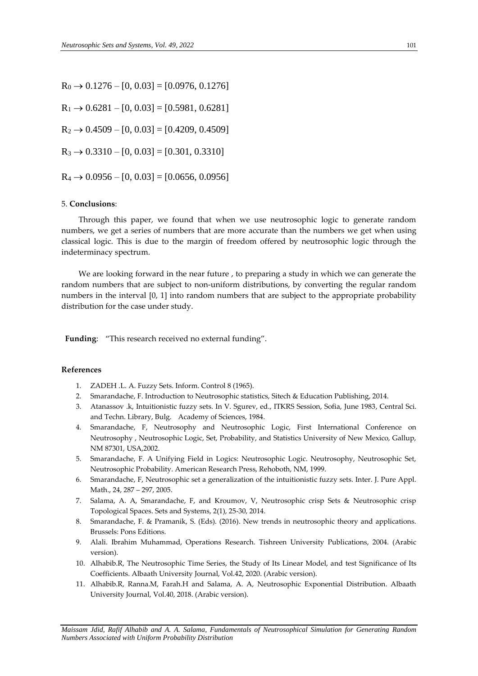$R_0 \rightarrow 0.1276 - [0, 0.03] = [0.0976, 0.1276]$  $R_1 \rightarrow 0.6281 - [0, 0.03] = [0.5981, 0.6281]$  $R_2 \rightarrow 0.4509 - [0, 0.03] = [0.4209, 0.4509]$  $R_3 \rightarrow 0.3310 - [0, 0.03] = [0.301, 0.3310]$  $R_4 \rightarrow 0.0956 - [0, 0.03] = [0.0656, 0.0956]$ 

## 5. **Conclusions**:

Through this paper, we found that when we use neutrosophic logic to generate random numbers, we get a series of numbers that are more accurate than the numbers we get when using classical logic. This is due to the margin of freedom offered by neutrosophic logic through the indeterminacy spectrum.

We are looking forward in the near future , to preparing a study in which we can generate the random numbers that are subject to non-uniform distributions, by converting the regular random numbers in the interval [0, 1] into random numbers that are subject to the appropriate probability distribution for the case under study.

**Funding**: "This research received no external funding".

## **References**

- 1. ZADEH .L. A. Fuzzy Sets. Inform. Control 8 (1965).
- 2. Smarandache, F. Introduction to Neutrosophic statistics, Sitech & Education Publishing, 2014.
- 3. Atanassov .k, Intuitionistic fuzzy sets. In V. Sgurev, ed., ITKRS Session, Sofia, June 1983, Central Sci. and Techn. Library, Bulg. Academy of Sciences, 1984.
- 4. Smarandache, F, Neutrosophy and Neutrosophic Logic, First International Conference on Neutrosophy , Neutrosophic Logic, Set, Probability, and Statistics University of New Mexico, Gallup, NM 87301, USA,2002.
- 5. Smarandache, F. A Unifying Field in Logics: Neutrosophic Logic. Neutrosophy, Neutrosophic Set, Neutrosophic Probability. American Research Press, Rehoboth, NM, 1999.
- 6. Smarandache, F, Neutrosophic set a generalization of the intuitionistic fuzzy sets. Inter. J. Pure Appl. Math., 24, 287 – 297, 2005.
- 7. Salama, A. A, Smarandache, F, and Kroumov, V, Neutrosophic crisp Sets & Neutrosophic crisp Topological Spaces. Sets and Systems, 2(1), 25-30, 2014.
- 8. Smarandache, F. & Pramanik, S. (Eds). (2016). New trends in neutrosophic theory and applications. Brussels: Pons Editions.
- 9. Alali. Ibrahim Muhammad, Operations Research. Tishreen University Publications, 2004. (Arabic version).
- 10. Alhabib.R, The Neutrosophic Time Series, the Study of Its Linear Model, and test Significance of Its Coefficients. Albaath University Journal, Vol.42, 2020. (Arabic version).
- 11. Alhabib.R, Ranna.M, Farah.H and Salama, A. A, Neutrosophic Exponential Distribution. Albaath University Journal, Vol.40, 2018. (Arabic version).